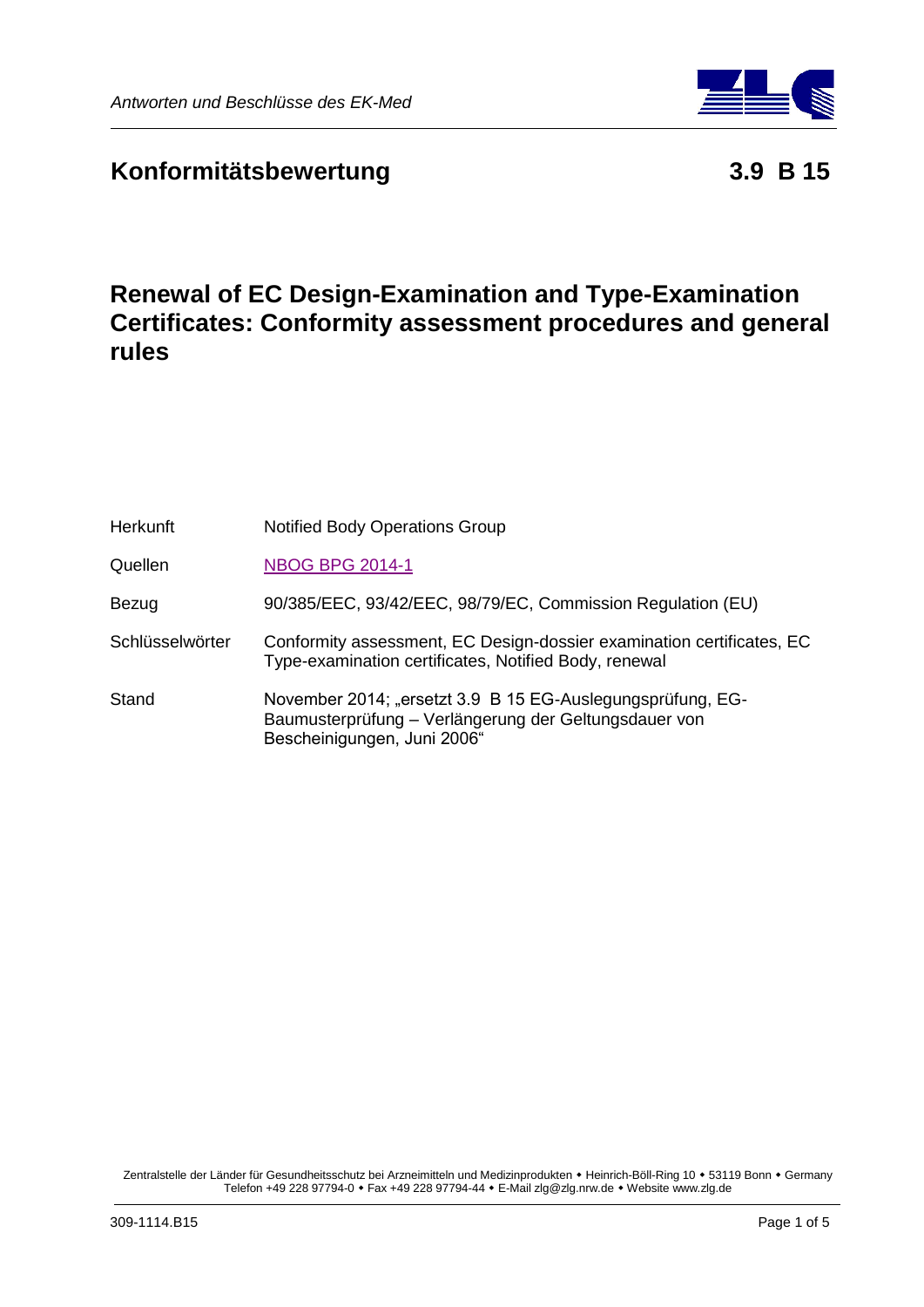

**Renewal of EC Design-Examination and Type-Examination Certificates: Conformity assessment procedures and general rules**

| <b>Herkunft</b> | <b>Notified Body Operations Group</b>                                                                                                              |
|-----------------|----------------------------------------------------------------------------------------------------------------------------------------------------|
| Quellen         | <b>NBOG BPG 2014-1</b>                                                                                                                             |
| Bezug           | 90/385/EEC, 93/42/EEC, 98/79/EC, Commission Regulation (EU)                                                                                        |
| Schlüsselwörter | Conformity assessment, EC Design-dossier examination certificates, EC<br>Type-examination certificates, Notified Body, renewal                     |
| Stand           | November 2014; "ersetzt 3.9 B 15 EG-Auslegungsprüfung, EG-<br>Baumusterprüfung - Verlängerung der Geltungsdauer von<br>Bescheinigungen, Juni 2006" |

Zentralstelle der Länder für Gesundheitsschutz bei Arzneimitteln und Medizinprodukten • Heinrich-Böll-Ring 10 • 53119 Bonn • Germany Telefon +49 228 97794-0 Fax +49 228 97794-44 E-Mail zlg@zlg.nrw.de Website www.zlg.de

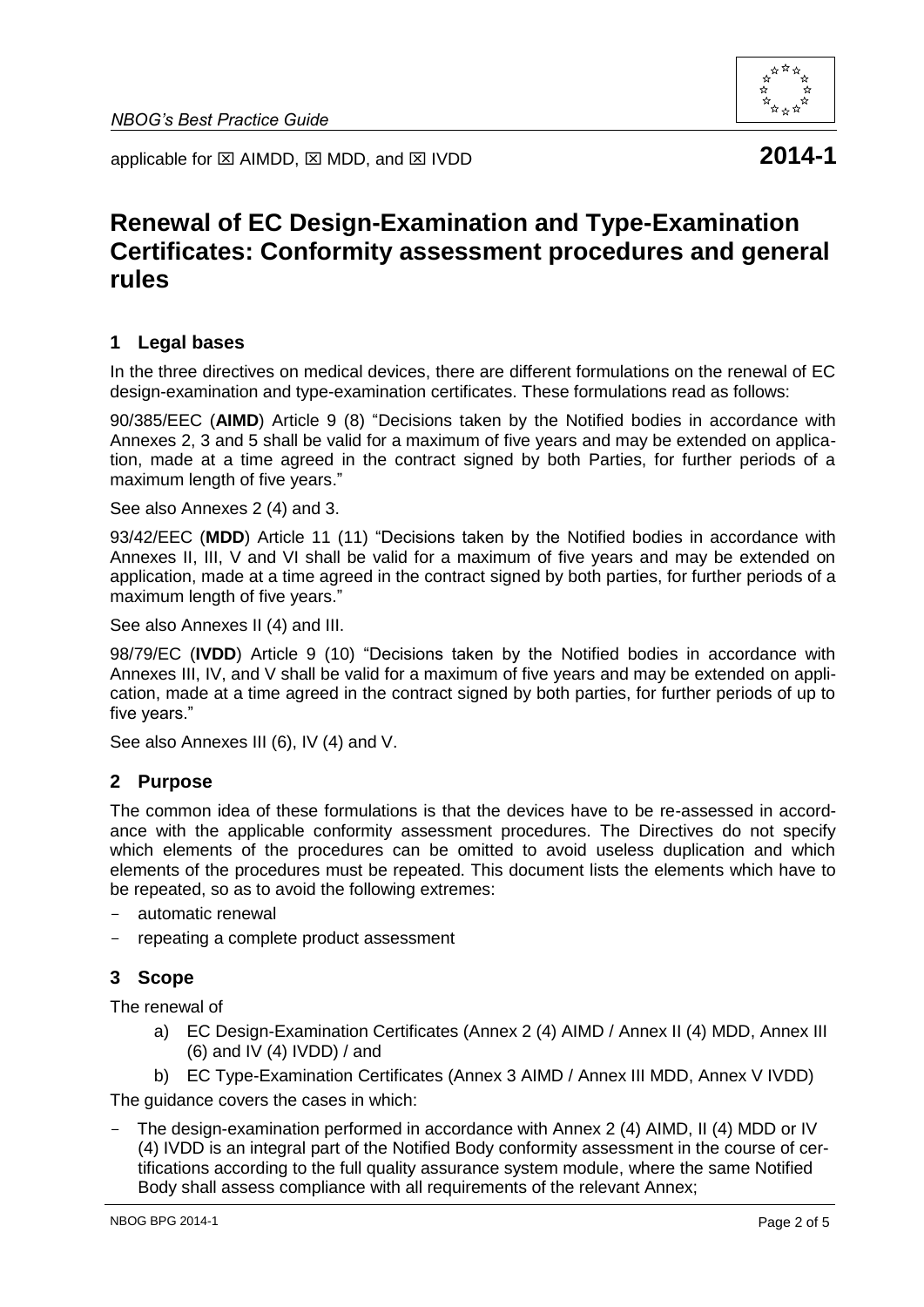

applicable for  $\boxtimes$  AIMDD,  $\boxtimes$  MDD, and  $\boxtimes$  IVDD **2014-1** 

# **Renewal of EC Design-Examination and Type-Examination Certificates: Conformity assessment procedures and general rules**

#### **1 Legal bases**

In the three directives on medical devices, there are different formulations on the renewal of EC design-examination and type-examination certificates. These formulations read as follows:

90/385/EEC (**AIMD**) Article 9 (8) "Decisions taken by the Notified bodies in accordance with Annexes 2, 3 and 5 shall be valid for a maximum of five years and may be extended on application, made at a time agreed in the contract signed by both Parties, for further periods of a maximum length of five years."

See also Annexes 2 (4) and 3.

93/42/EEC (**MDD**) Article 11 (11) "Decisions taken by the Notified bodies in accordance with Annexes II, III, V and VI shall be valid for a maximum of five years and may be extended on application, made at a time agreed in the contract signed by both parties, for further periods of a maximum length of five years."

See also Annexes II (4) and III.

98/79/EC (**IVDD**) Article 9 (10) "Decisions taken by the Notified bodies in accordance with Annexes III, IV, and V shall be valid for a maximum of five years and may be extended on application, made at a time agreed in the contract signed by both parties, for further periods of up to five years."

See also Annexes III (6), IV (4) and V.

#### **2 Purpose**

The common idea of these formulations is that the devices have to be re-assessed in accordance with the applicable conformity assessment procedures. The Directives do not specify which elements of the procedures can be omitted to avoid useless duplication and which elements of the procedures must be repeated. This document lists the elements which have to be repeated, so as to avoid the following extremes:

- automatic renewal
- repeating a complete product assessment

## **3 Scope**

The renewal of

- a) EC Design-Examination Certificates (Annex 2 (4) AIMD / Annex II (4) MDD, Annex III (6) and IV (4) IVDD) / and
- b) EC Type-Examination Certificates (Annex 3 AIMD / Annex III MDD, Annex V IVDD)

The guidance covers the cases in which:

The design-examination performed in accordance with Annex 2 (4) AIMD, II (4) MDD or IV (4) IVDD is an integral part of the Notified Body conformity assessment in the course of certifications according to the full quality assurance system module, where the same Notified Body shall assess compliance with all requirements of the relevant Annex;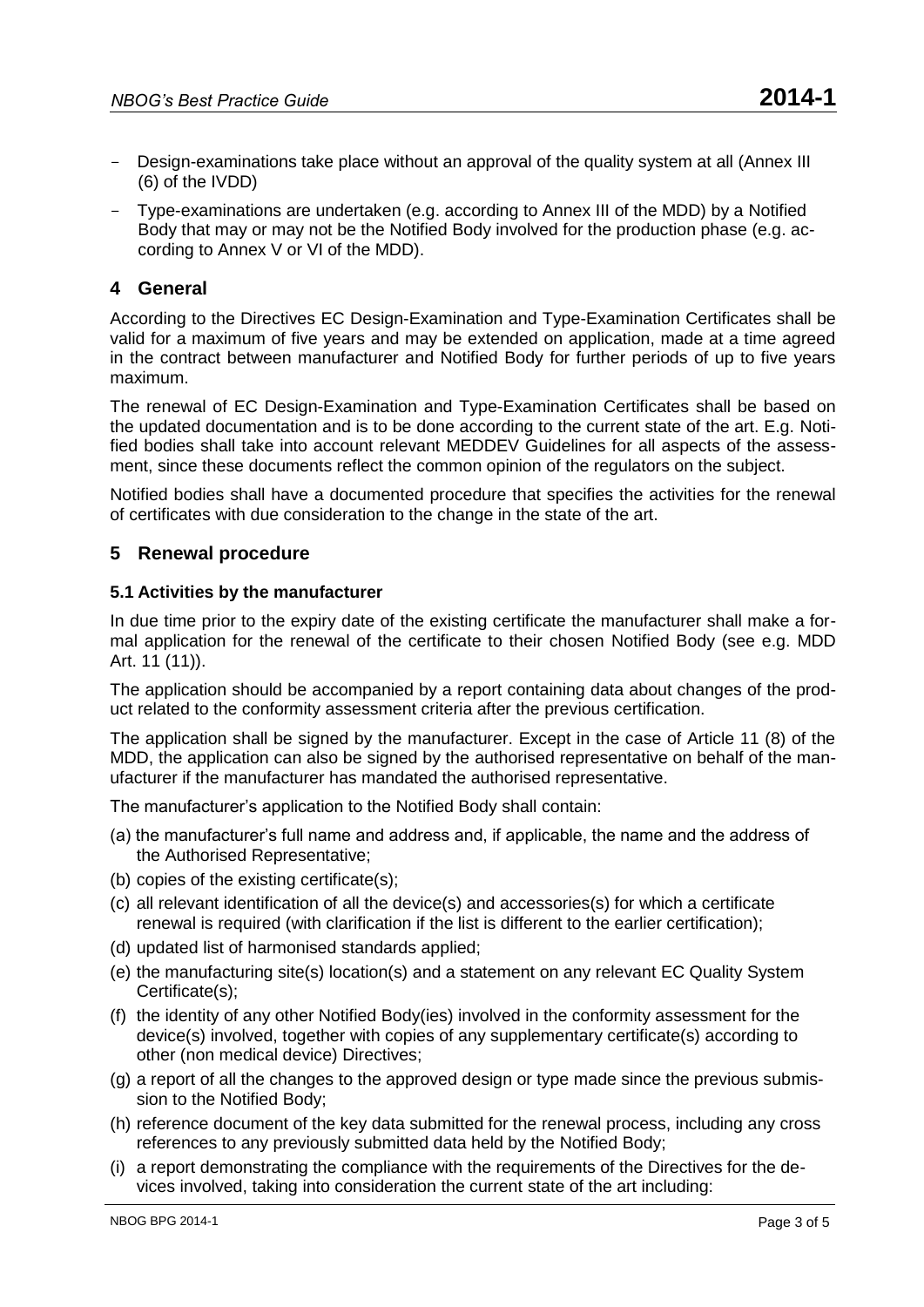- Design-examinations take place without an approval of the quality system at all (Annex III (6) of the IVDD)
- Type-examinations are undertaken (e.g. according to Annex III of the MDD) by a Notified Body that may or may not be the Notified Body involved for the production phase (e.g. according to Annex V or VI of the MDD).

# **4 General**

According to the Directives EC Design-Examination and Type-Examination Certificates shall be valid for a maximum of five years and may be extended on application, made at a time agreed in the contract between manufacturer and Notified Body for further periods of up to five years maximum.

The renewal of EC Design-Examination and Type-Examination Certificates shall be based on the updated documentation and is to be done according to the current state of the art. E.g. Notified bodies shall take into account relevant MEDDEV Guidelines for all aspects of the assessment, since these documents reflect the common opinion of the regulators on the subject.

Notified bodies shall have a documented procedure that specifies the activities for the renewal of certificates with due consideration to the change in the state of the art.

## **5 Renewal procedure**

#### **5.1 Activities by the manufacturer**

In due time prior to the expiry date of the existing certificate the manufacturer shall make a formal application for the renewal of the certificate to their chosen Notified Body (see e.g. MDD Art. 11 (11)).

The application should be accompanied by a report containing data about changes of the product related to the conformity assessment criteria after the previous certification.

The application shall be signed by the manufacturer. Except in the case of Article 11 (8) of the MDD, the application can also be signed by the authorised representative on behalf of the manufacturer if the manufacturer has mandated the authorised representative.

The manufacturer's application to the Notified Body shall contain:

- (a) the manufacturer's full name and address and, if applicable, the name and the address of the Authorised Representative;
- (b) copies of the existing certificate(s);
- (c) all relevant identification of all the device(s) and accessories(s) for which a certificate renewal is required (with clarification if the list is different to the earlier certification);
- (d) updated list of harmonised standards applied;
- (e) the manufacturing site(s) location(s) and a statement on any relevant EC Quality System Certificate(s);
- (f) the identity of any other Notified Body(ies) involved in the conformity assessment for the device(s) involved, together with copies of any supplementary certificate(s) according to other (non medical device) Directives;
- (g) a report of all the changes to the approved design or type made since the previous submission to the Notified Body;
- (h) reference document of the key data submitted for the renewal process, including any cross references to any previously submitted data held by the Notified Body;
- (i) a report demonstrating the compliance with the requirements of the Directives for the devices involved, taking into consideration the current state of the art including: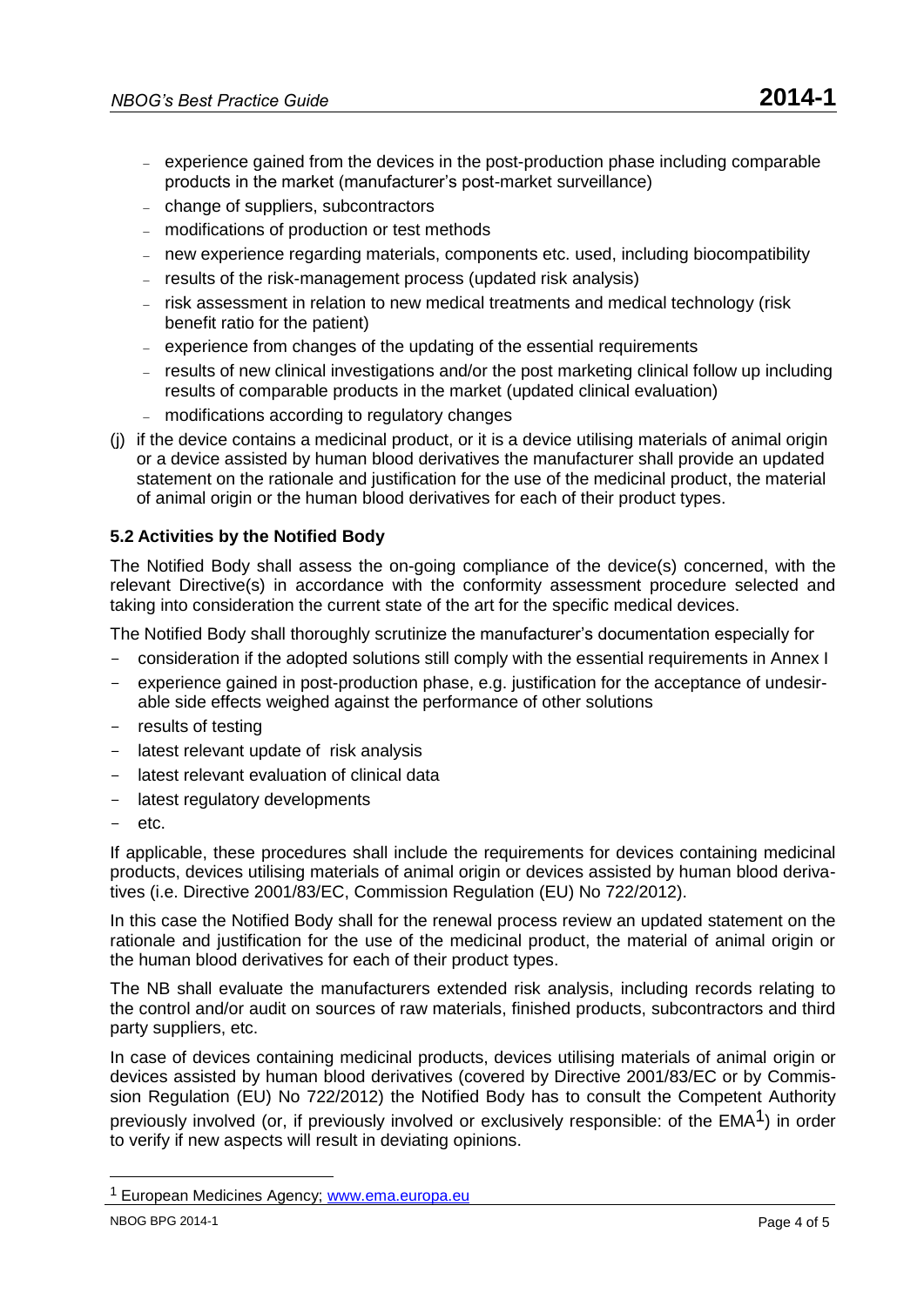- experience gained from the devices in the post-production phase including comparable products in the market (manufacturer's post-market surveillance)
- change of suppliers, subcontractors
- modifications of production or test methods
- new experience regarding materials, components etc. used, including biocompatibility
- results of the risk-management process (updated risk analysis)
- risk assessment in relation to new medical treatments and medical technology (risk benefit ratio for the patient)
- experience from changes of the updating of the essential requirements
- results of new clinical investigations and/or the post marketing clinical follow up including results of comparable products in the market (updated clinical evaluation)
- modifications according to regulatory changes
- (j) if the device contains a medicinal product, or it is a device utilising materials of animal origin or a device assisted by human blood derivatives the manufacturer shall provide an updated statement on the rationale and justification for the use of the medicinal product, the material of animal origin or the human blood derivatives for each of their product types.

# **5.2 Activities by the Notified Body**

The Notified Body shall assess the on-going compliance of the device(s) concerned, with the relevant Directive(s) in accordance with the conformity assessment procedure selected and taking into consideration the current state of the art for the specific medical devices.

The Notified Body shall thoroughly scrutinize the manufacturer's documentation especially for

- consideration if the adopted solutions still comply with the essential requirements in Annex I
- experience gained in post-production phase, e.g. justification for the acceptance of undesirable side effects weighed against the performance of other solutions
- results of testing
- latest relevant update of risk analysis
- latest relevant evaluation of clinical data
- latest regulatory developments
- etc.

If applicable, these procedures shall include the requirements for devices containing medicinal products, devices utilising materials of animal origin or devices assisted by human blood derivatives (i.e. Directive 2001/83/EC, Commission Regulation (EU) No 722/2012).

In this case the Notified Body shall for the renewal process review an updated statement on the rationale and justification for the use of the medicinal product, the material of animal origin or the human blood derivatives for each of their product types.

The NB shall evaluate the manufacturers extended risk analysis, including records relating to the control and/or audit on sources of raw materials, finished products, subcontractors and third party suppliers, etc.

In case of devices containing medicinal products, devices utilising materials of animal origin or devices assisted by human blood derivatives (covered by Directive 2001/83/EC or by Commission Regulation (EU) No 722/2012) the Notified Body has to consult the Competent Authority previously involved (or, if previously involved or exclusively responsible: of the EMA<sup>1</sup>) in order to verify if new aspects will result in deviating opinions.

<sup>&</sup>lt;sup>1</sup> European Medicines Agency; [www.ema.europa.eu](http://www.ema.europa.eu/)